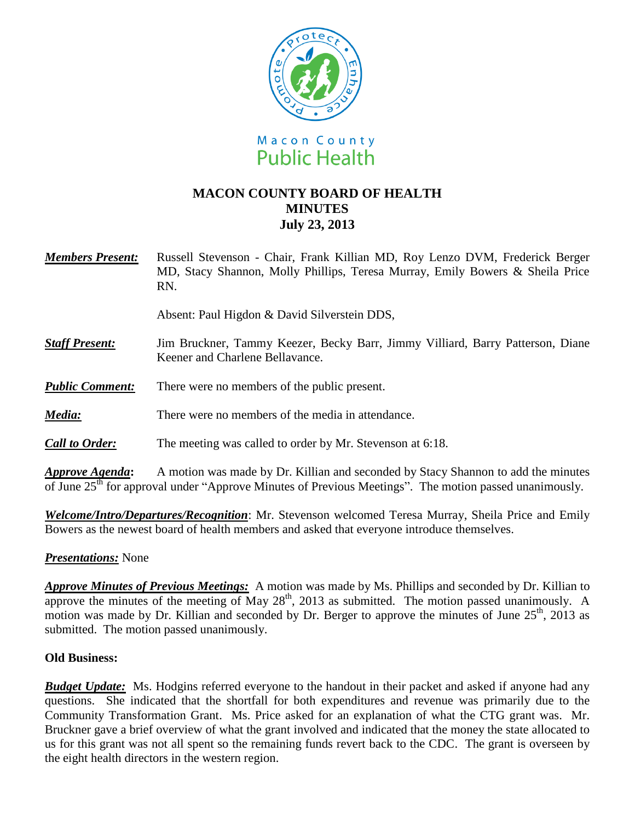

# **MACON COUNTY BOARD OF HEALTH MINUTES July 23, 2013**

| <b>Members Present:</b> | Russell Stevenson - Chair, Frank Killian MD, Roy Lenzo DVM, Frederick Berger<br>MD, Stacy Shannon, Molly Phillips, Teresa Murray, Emily Bowers & Sheila Price<br>RN.                                    |
|-------------------------|---------------------------------------------------------------------------------------------------------------------------------------------------------------------------------------------------------|
|                         | Absent: Paul Higdon & David Silverstein DDS,                                                                                                                                                            |
| <b>Staff Present:</b>   | Jim Bruckner, Tammy Keezer, Becky Barr, Jimmy Villiard, Barry Patterson, Diane<br>Keener and Charlene Bellavance.                                                                                       |
| <b>Public Comment:</b>  | There were no members of the public present.                                                                                                                                                            |
| Media:                  | There were no members of the media in attendance.                                                                                                                                                       |
| <b>Call to Order:</b>   | The meeting was called to order by Mr. Stevenson at 6:18.                                                                                                                                               |
| Approve Agenda:         | A motion was made by Dr. Killian and seconded by Stacy Shannon to add the minutes<br>of June 25 <sup>th</sup> for approval under "Approve Minutes of Previous Meetings". The motion passed unanimously. |

*Welcome/Intro/Departures/Recognition*: Mr. Stevenson welcomed Teresa Murray, Sheila Price and Emily Bowers as the newest board of health members and asked that everyone introduce themselves.

## *Presentations:* None

*Approve Minutes of Previous Meetings:*A motion was made by Ms. Phillips and seconded by Dr. Killian to approve the minutes of the meeting of May  $28<sup>th</sup>$ , 2013 as submitted. The motion passed unanimously. A motion was made by Dr. Killian and seconded by Dr. Berger to approve the minutes of June  $25<sup>th</sup>$ , 2013 as submitted. The motion passed unanimously.

### **Old Business:**

*Budget Update:* Ms. Hodgins referred everyone to the handout in their packet and asked if anyone had any questions. She indicated that the shortfall for both expenditures and revenue was primarily due to the Community Transformation Grant. Ms. Price asked for an explanation of what the CTG grant was. Mr. Bruckner gave a brief overview of what the grant involved and indicated that the money the state allocated to us for this grant was not all spent so the remaining funds revert back to the CDC. The grant is overseen by the eight health directors in the western region.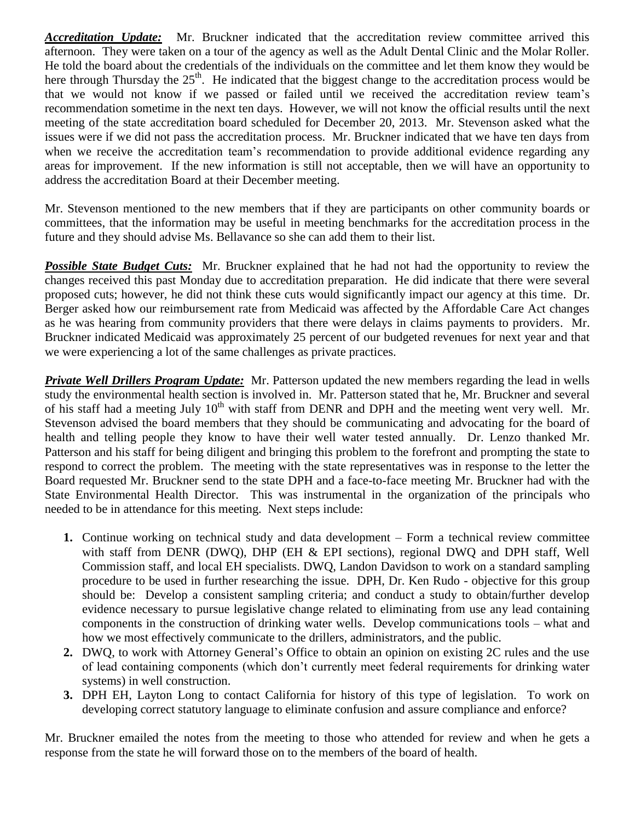*Accreditation Update:* Mr. Bruckner indicated that the accreditation review committee arrived this afternoon. They were taken on a tour of the agency as well as the Adult Dental Clinic and the Molar Roller. He told the board about the credentials of the individuals on the committee and let them know they would be here through Thursday the  $25<sup>th</sup>$ . He indicated that the biggest change to the accreditation process would be that we would not know if we passed or failed until we received the accreditation review team's recommendation sometime in the next ten days. However, we will not know the official results until the next meeting of the state accreditation board scheduled for December 20, 2013. Mr. Stevenson asked what the issues were if we did not pass the accreditation process. Mr. Bruckner indicated that we have ten days from when we receive the accreditation team's recommendation to provide additional evidence regarding any areas for improvement. If the new information is still not acceptable, then we will have an opportunity to address the accreditation Board at their December meeting.

Mr. Stevenson mentioned to the new members that if they are participants on other community boards or committees, that the information may be useful in meeting benchmarks for the accreditation process in the future and they should advise Ms. Bellavance so she can add them to their list.

**Possible State Budget Cuts:** Mr. Bruckner explained that he had not had the opportunity to review the changes received this past Monday due to accreditation preparation. He did indicate that there were several proposed cuts; however, he did not think these cuts would significantly impact our agency at this time. Dr. Berger asked how our reimbursement rate from Medicaid was affected by the Affordable Care Act changes as he was hearing from community providers that there were delays in claims payments to providers. Mr. Bruckner indicated Medicaid was approximately 25 percent of our budgeted revenues for next year and that we were experiencing a lot of the same challenges as private practices.

*Private Well Drillers Program Update:* Mr. Patterson updated the new members regarding the lead in wells study the environmental health section is involved in. Mr. Patterson stated that he, Mr. Bruckner and several of his staff had a meeting July  $10^{th}$  with staff from DENR and DPH and the meeting went very well. Mr. Stevenson advised the board members that they should be communicating and advocating for the board of health and telling people they know to have their well water tested annually. Dr. Lenzo thanked Mr. Patterson and his staff for being diligent and bringing this problem to the forefront and prompting the state to respond to correct the problem. The meeting with the state representatives was in response to the letter the Board requested Mr. Bruckner send to the state DPH and a face-to-face meeting Mr. Bruckner had with the State Environmental Health Director. This was instrumental in the organization of the principals who needed to be in attendance for this meeting. Next steps include:

- **1.** Continue working on technical study and data development Form a technical review committee with staff from DENR (DWQ), DHP (EH & EPI sections), regional DWQ and DPH staff, Well Commission staff, and local EH specialists. DWQ, Landon Davidson to work on a standard sampling procedure to be used in further researching the issue. DPH, Dr. Ken Rudo - objective for this group should be: Develop a consistent sampling criteria; and conduct a study to obtain/further develop evidence necessary to pursue legislative change related to eliminating from use any lead containing components in the construction of drinking water wells. Develop communications tools – what and how we most effectively communicate to the drillers, administrators, and the public.
- **2.** DWQ, to work with Attorney General's Office to obtain an opinion on existing 2C rules and the use of lead containing components (which don't currently meet federal requirements for drinking water systems) in well construction.
- **3.** DPH EH, Layton Long to contact California for history of this type of legislation. To work on developing correct statutory language to eliminate confusion and assure compliance and enforce?

Mr. Bruckner emailed the notes from the meeting to those who attended for review and when he gets a response from the state he will forward those on to the members of the board of health.